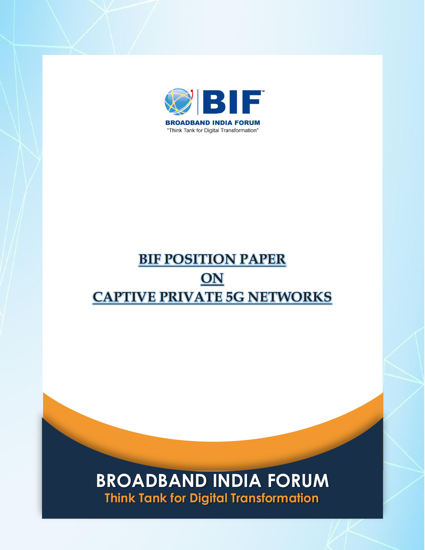

# **BIF POSITION PAPER ON CAPTIVE PRIVATE 5G NETWORKS**

## **BROADBAND INDIA FORUM Think Tank for Digital Transformation**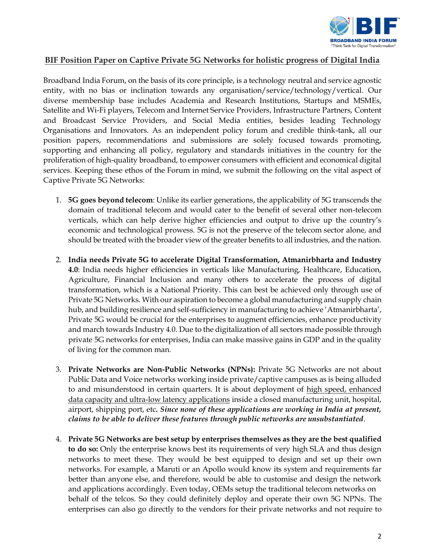

## **BIF Position Paper on Captive Private 5G Networks for holistic progress of Digital India**

Broadband India Forum, on the basis of its core principle, is a technology neutral and service agnostic entity, with no bias or inclination towards any organisation/service/technology/vertical. Our diverse membership base includes Academia and Research Institutions, Startups and MSMEs, Satellite and Wi-Fi players, Telecom and Internet Service Providers, Infrastructure Partners, Content and Broadcast Service Providers, and Social Media entities, besides leading Technology Organisations and Innovators. As an independent policy forum and credible think-tank, all our position papers, recommendations and submissions are solely focused towards promoting, supporting and enhancing all policy, regulatory and standards initiatives in the country for the proliferation of high-quality broadband, to empower consumers with efficient and economical digital services. Keeping these ethos of the Forum in mind, we submit the following on the vital aspect of Captive Private 5G Networks:

- 1. **5G goes beyond telecom**: Unlike its earlier generations, the applicability of 5G transcends the domain of traditional telecom and would cater to the benefit of several other non-telecom verticals, which can help derive higher efficiencies and output to drive up the country's economic and technological prowess. 5G is not the preserve of the telecom sector alone, and should be treated with the broader view of the greater benefits to all industries, and the nation.
- 2. **India needs Private 5G to accelerate Digital Transformation, Atmanirbharta and Industry 4.0**: India needs higher efficiencies in verticals like Manufacturing, Healthcare, Education, Agriculture, Financial Inclusion and many others to accelerate the process of digital transformation, which is a National Priority. This can best be achieved only through use of Private 5G Networks. With our aspiration to become a global manufacturing and supply chain hub, and building resilience and self-sufficiency in manufacturing to achieve 'Atmanirbharta', Private 5G would be crucial for the enterprises to augment efficiencies, enhance productivity and march towards Industry 4.0. Due to the digitalization of all sectors made possible through private 5G networks for enterprises, India can make massive gains in GDP and in the quality of living for the common man.
- 3. **Private Networks are Non-Public Networks (NPNs):** Private 5G Networks are not about Public Data and Voice networks working inside private/captive campuses as is being alluded to and misunderstood in certain quarters. It is about deployment of high speed, enhanced data capacity and ultra-low latency applications inside a closed manufacturing unit, hospital, airport, shipping port, etc*. Since none of these applications are working in India at present, claims to be able to deliver these features through public networks are unsubstantiated*.
- 4. **Private 5G Networks are best setup by enterprises themselves as they are the best qualified to do so:** Only the enterprise knows best its requirements of very high SLA and thus design networks to meet these. They would be best equipped to design and set up their own networks. For example, a Maruti or an Apollo would know its system and requirements far better than anyone else, and therefore, would be able to customise and design the network and applications accordingly. Even today, OEMs setup the traditional telecom networks on behalf of the telcos. So they could definitely deploy and operate their own 5G NPNs. The enterprises can also go directly to the vendors for their private networks and not require to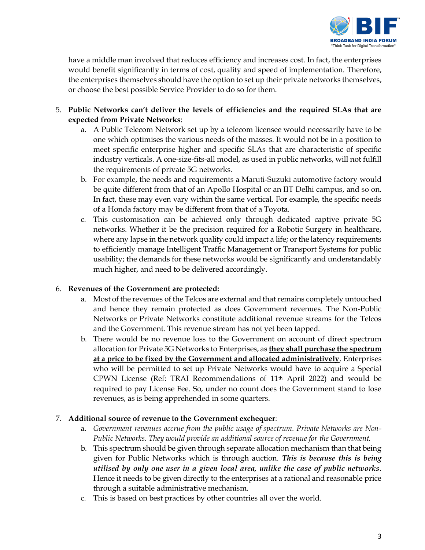

have a middle man involved that reduces efficiency and increases cost. In fact, the enterprises would benefit significantly in terms of cost, quality and speed of implementation. Therefore, the enterprises themselves should have the option to set up their private networks themselves, or choose the best possible Service Provider to do so for them.

- 5. **Public Networks can't deliver the levels of efficiencies and the required SLAs that are expected from Private Networks**:
	- a. A Public Telecom Network set up by a telecom licensee would necessarily have to be one which optimises the various needs of the masses. It would not be in a position to meet specific enterprise higher and specific SLAs that are characteristic of specific industry verticals. A one-size-fits-all model, as used in public networks, will not fulfill the requirements of private 5G networks.
	- b. For example, the needs and requirements a Maruti-Suzuki automotive factory would be quite different from that of an Apollo Hospital or an IIT Delhi campus, and so on. In fact, these may even vary within the same vertical. For example, the specific needs of a Honda factory may be different from that of a Toyota.
	- c. This customisation can be achieved only through dedicated captive private 5G networks. Whether it be the precision required for a Robotic Surgery in healthcare, where any lapse in the network quality could impact a life; or the latency requirements to efficiently manage Intelligent Traffic Management or Transport Systems for public usability; the demands for these networks would be significantly and understandably much higher, and need to be delivered accordingly.

#### 6. **Revenues of the Government are protected:**

- a. Most of the revenues of the Telcos are external and that remains completely untouched and hence they remain protected as does Government revenues. The Non-Public Networks or Private Networks constitute additional revenue streams for the Telcos and the Government. This revenue stream has not yet been tapped.
- b. There would be no revenue loss to the Government on account of direct spectrum allocation for Private 5G Networks to Enterprises, as **they shall purchase the spectrum at a price to be fixed by the Government and allocated administratively**. Enterprises who will be permitted to set up Private Networks would have to acquire a Special CPWN License (Ref: TRAI Recommendations of 11th April 2022) and would be required to pay License Fee. So, under no count does the Government stand to lose revenues, as is being apprehended in some quarters.

## 7. **Additional source of revenue to the Government exchequer**:

- a. *Government revenues accrue from the public usage of spectrum. Private Networks are Non-Public Networks*. *They would provide an additional source of revenue for the Government.*
- b. This spectrum should be given through separate allocation mechanism than that being given for Public Networks which is through auction. *This is because this is being utilised by only one user in a given local area, unlike the case of public networks*. Hence it needs to be given directly to the enterprises at a rational and reasonable price through a suitable administrative mechanism.
- c. This is based on best practices by other countries all over the world.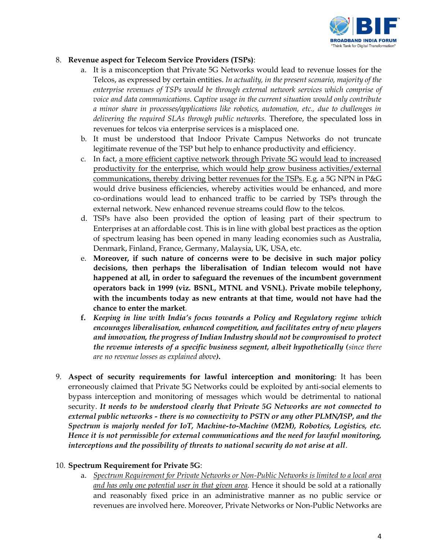

#### 8. **Revenue aspect for Telecom Service Providers (TSPs)**:

- a. It is a misconception that Private 5G Networks would lead to revenue losses for the Telcos, as expressed by certain entities. *In actuality, in the present scenario, majority of the enterprise revenues of TSPs would be through external network services which comprise of voice and data communications. Captive usage in the current situation would only contribute a minor share in processes/applications like robotics, automation, etc., due to challenges in delivering the required SLAs through public networks.* Therefore, the speculated loss in revenues for telcos via enterprise services is a misplaced one.
- b. It must be understood that Indoor Private Campus Networks do not truncate legitimate revenue of the TSP but help to enhance productivity and efficiency.
- c. In fact, a more efficient captive network through Private 5G would lead to increased productivity for the enterprise, which would help grow business activities/external communications, thereby driving better revenues for the TSPs. E.g. a 5G NPN in P&G would drive business efficiencies, whereby activities would be enhanced, and more co-ordinations would lead to enhanced traffic to be carried by TSPs through the external network. New enhanced revenue streams could flow to the telcos.
- d. TSPs have also been provided the option of leasing part of their spectrum to Enterprises at an affordable cost. This is in line with global best practices as the option of spectrum leasing has been opened in many leading economies such as Australia, Denmark, Finland, France, Germany, Malaysia, UK, USA, etc.
- e. **Moreover, if such nature of concerns were to be decisive in such major policy decisions, then perhaps the liberalisation of Indian telecom would not have happened at all, in order to safeguard the revenues of the incumbent government operators back in 1999 (viz. BSNL, MTNL and VSNL). Private mobile telephony, with the incumbents today as new entrants at that time, would not have had the chance to enter the market**.
- **f.** *Keeping in line with India's focus towards a Policy and Regulatory regime which encourages liberalisation, enhanced competition, and facilitates entry of new players and innovation, the progress of Indian Industry should not be compromised to protect the revenue interests of a specific business segment, albeit hypothetically (since there are no revenue losses as explained above)***.**
- 9. **Aspect of security requirements for lawful interception and monitoring**: It has been erroneously claimed that Private 5G Networks could be exploited by anti-social elements to bypass interception and monitoring of messages which would be detrimental to national security. *It needs to be understood clearly that Private 5G Networks are not connected to external public networks - there is no connectivity to PSTN or any other PLMN/ISP, and the Spectrum is majorly needed for IoT, Machine-to-Machine (M2M), Robotics, Logistics, etc. Hence it is not permissible for external communications and the need for lawful monitoring, interceptions and the possibility of threats to national security do not arise at all*.

#### 10. **Spectrum Requirement for Private 5G**:

a. *Spectrum Requirement for Private Networks or Non-Public Networks is limited to a local area and has only one potential user in that given area*. Hence it should be sold at a rationally and reasonably fixed price in an administrative manner as no public service or revenues are involved here. Moreover, Private Networks or Non-Public Networks are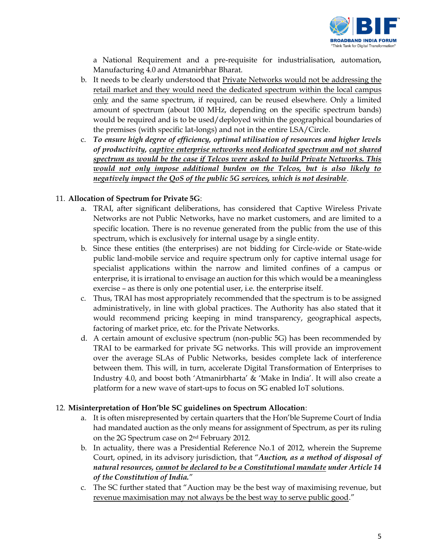

a National Requirement and a pre-requisite for industrialisation, automation, Manufacturing 4.0 and Atmanirbhar Bharat.

- b. It needs to be clearly understood that Private Networks would not be addressing the retail market and they would need the dedicated spectrum within the local campus only and the same spectrum, if required, can be reused elsewhere. Only a limited amount of spectrum (about 100 MHz, depending on the specific spectrum bands) would be required and is to be used/deployed within the geographical boundaries of the premises (with specific lat-longs) and not in the entire LSA/Circle.
- c. *To ensure high degree of efficiency, optimal utilisation of resources and higher levels of productivity, captive enterprise networks need dedicated spectrum and not shared spectrum as would be the case if Telcos were asked to build Private Networks. This would not only impose additional burden on the Telcos, but is also likely to negatively impact the QoS of the public 5G services, which is not desirable*.

## 11. **Allocation of Spectrum for Private 5G**:

- a. TRAI, after significant deliberations, has considered that Captive Wireless Private Networks are not Public Networks, have no market customers, and are limited to a specific location. There is no revenue generated from the public from the use of this spectrum, which is exclusively for internal usage by a single entity.
- b. Since these entities (the enterprises) are not bidding for Circle-wide or State-wide public land-mobile service and require spectrum only for captive internal usage for specialist applications within the narrow and limited confines of a campus or enterprise, it is irrational to envisage an auction for this which would be a meaningless exercise – as there is only one potential user, i.e. the enterprise itself.
- c. Thus, TRAI has most appropriately recommended that the spectrum is to be assigned administratively, in line with global practices. The Authority has also stated that it would recommend pricing keeping in mind transparency, geographical aspects, factoring of market price, etc. for the Private Networks.
- d. A certain amount of exclusive spectrum (non-public 5G) has been recommended by TRAI to be earmarked for private 5G networks. This will provide an improvement over the average SLAs of Public Networks, besides complete lack of interference between them. This will, in turn, accelerate Digital Transformation of Enterprises to Industry 4.0, and boost both 'Atmanirbharta' & 'Make in India'. It will also create a platform for a new wave of start-ups to focus on 5G enabled IoT solutions.

## 12. **Misinterpretation of Hon'ble SC guidelines on Spectrum Allocation**:

- a. It is often misrepresented by certain quarters that the Hon'ble Supreme Court of India had mandated auction as the only means for assignment of Spectrum, as per its ruling on the 2G Spectrum case on 2nd February 2012.
- b. In actuality, there was a Presidential Reference No.1 of 2012, wherein the Supreme Court, opined, in its advisory jurisdiction, that "*Auction, as a method of disposal of natural resources, cannot be declared to be a Constitutional mandate under Article 14 of the Constitution of India.*"
- c. The SC further stated that "Auction may be the best way of maximising revenue, but revenue maximisation may not always be the best way to serve public good."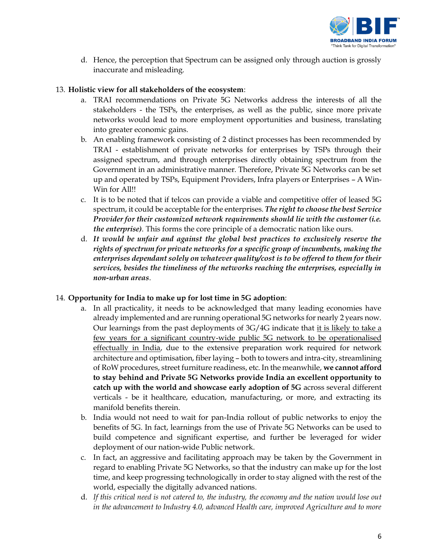

d. Hence, the perception that Spectrum can be assigned only through auction is grossly inaccurate and misleading.

#### 13. **Holistic view for all stakeholders of the ecosystem**:

- a. TRAI recommendations on Private 5G Networks address the interests of all the stakeholders - the TSPs, the enterprises, as well as the public, since more private networks would lead to more employment opportunities and business, translating into greater economic gains.
- b. An enabling framework consisting of 2 distinct processes has been recommended by TRAI - establishment of private networks for enterprises by TSPs through their assigned spectrum, and through enterprises directly obtaining spectrum from the Government in an administrative manner. Therefore, Private 5G Networks can be set up and operated by TSPs, Equipment Providers, Infra players or Enterprises – A Win-Win for All!!
- c. It is to be noted that if telcos can provide a viable and competitive offer of leased 5G spectrum, it could be acceptable for the enterprises. *The right to choose the best Service Provider for their customized network requirements should lie with the customer (i.e. the enterprise)*. This forms the core principle of a democratic nation like ours.
- d. *It would be unfair and against the global best practices to exclusively reserve the rights of spectrum for private networks for a specific group of incumbents, making the enterprises dependant solely on whatever quality/cost is to be offered to them for their services, besides the timeliness of the networks reaching the enterprises, especially in non-urban areas*.

#### 14. **Opportunity for India to make up for lost time in 5G adoption**:

- a. In all practicality, it needs to be acknowledged that many leading economies have already implemented and are running operational 5G networks for nearly 2 years now. Our learnings from the past deployments of 3G/4G indicate that it is likely to take a few years for a significant country-wide public 5G network to be operationalised effectually in India, due to the extensive preparation work required for network architecture and optimisation, fiber laying – both to towers and intra-city, streamlining of RoW procedures, street furniture readiness, etc. In the meanwhile, **we cannot afford to stay behind and Private 5G Networks provide India an excellent opportunity to catch up with the world and showcase early adoption of 5G** across several different verticals - be it healthcare, education, manufacturing, or more, and extracting its manifold benefits therein.
- b. India would not need to wait for pan-India rollout of public networks to enjoy the benefits of 5G. In fact, learnings from the use of Private 5G Networks can be used to build competence and significant expertise, and further be leveraged for wider deployment of our nation-wide Public network.
- c. In fact, an aggressive and facilitating approach may be taken by the Government in regard to enabling Private 5G Networks, so that the industry can make up for the lost time, and keep progressing technologically in order to stay aligned with the rest of the world, especially the digitally advanced nations.
- d. *If this critical need is not catered to, the industry, the economy and the nation would lose out in the advancement to Industry 4.0, advanced Health care, improved Agriculture and to more*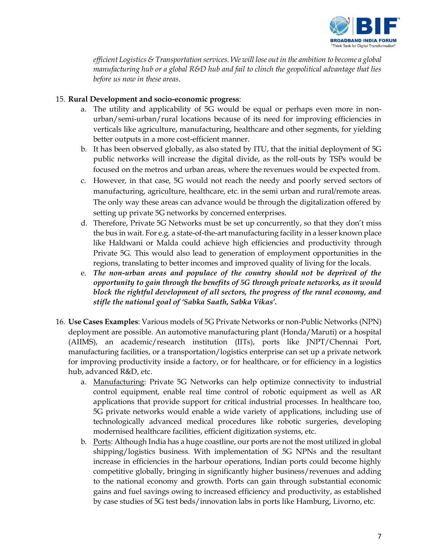

*efficient Logistics & Transportation services. We will lose out in the ambition to become a global manufacturing hub or a global R&D hub and fail to clinch the geopolitical advantage that lies before us now in these areas*.

### 15. **Rural Development and socio-economic progress**:

- a. The utility and applicability of 5G would be equal or perhaps even more in nonurban/semi-urban/rural locations because of its need for improving efficiencies in verticals like agriculture, manufacturing, healthcare and other segments, for yielding better outputs in a more cost-efficient manner.
- b. It has been observed globally, as also stated by ITU, that the initial deployment of 5G public networks will increase the digital divide, as the roll-outs by TSPs would be focused on the metros and urban areas, where the revenues would be expected from.
- c. However, in that case, 5G would not reach the needy and poorly served sectors of manufacturing, agriculture, healthcare, etc. in the semi urban and rural/remote areas. The only way these areas can advance would be through the digitalization offered by setting up private 5G networks by concerned enterprises.
- d. Therefore, Private 5G Networks must be set up concurrently, so that they don't miss the bus in wait. For e.g. a state-of-the-art manufacturing facility in a lesser known place like Haldwani or Malda could achieve high efficiencies and productivity through Private 5G. This would also lead to generation of employment opportunities in the regions, translating to better incomes and improved quality of living for the locals.
- e. *The non-urban areas and populace of the country should not be deprived of the opportunity to gain through the benefits of 5G through private networks, as it would block the rightful development of all sectors, the progress of the rural economy, and stifle the national goal of 'Sabka Saath, Sabka Vikas'.*
- 16. **Use Cases Examples**: Various models of 5G Private Networks or non-Public Networks (NPN) deployment are possible. An automotive manufacturing plant (Honda/Maruti) or a hospital (AIIMS), an academic/research institution (IITs), ports like JNPT/Chennai Port, manufacturing facilities, or a transportation/logistics enterprise can set up a private network for improving productivity inside a factory, or for healthcare, or for efficiency in a logistics hub, advanced R&D, etc.
	- a. Manufacturing: Private 5G Networks can help optimize connectivity to industrial control equipment, enable real time control of robotic equipment as well as AR applications that provide support for critical industrial processes. In healthcare too, 5G private networks would enable a wide variety of applications, including use of technologically advanced medical procedures like robotic surgeries, developing modernised healthcare facilities, efficient digitization systems, etc.
	- b. Ports: Although India has a huge coastline, our ports are not the most utilized in global shipping/logistics business. With implementation of 5G NPNs and the resultant increase in efficiencies in the harbour operations, Indian ports could become highly competitive globally, bringing in significantly higher business/revenues and adding to the national economy and growth. Ports can gain through substantial economic gains and fuel savings owing to increased efficiency and productivity, as established by case studies of 5G test beds/innovation labs in ports like Hamburg, Livorno, etc.